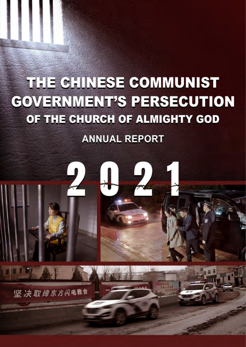# THE CHINESE COMMUNIST **GOVERNMENT'S PERSECUTION** OF THE CHURCH OF ALMIGHTY GOD

# **ANNUAL REPORT**

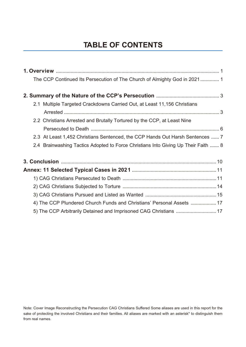### **TABLE OF CONTENTS**

| The CCP Continued Its Persecution of The Church of Almighty God in 2021 1          |
|------------------------------------------------------------------------------------|
|                                                                                    |
| 2.1 Multiple Targeted Crackdowns Carried Out, at Least 11,156 Christians           |
|                                                                                    |
| 2.2 Christians Arrested and Brutally Tortured by the CCP, at Least Nine            |
|                                                                                    |
| 2.3 At Least 1,452 Christians Sentenced, the CCP Hands Out Harsh Sentences  7      |
| 2.4 Brainwashing Tactics Adopted to Force Christians Into Giving Up Their Faith  8 |
|                                                                                    |
|                                                                                    |
|                                                                                    |
|                                                                                    |
|                                                                                    |
| 4) The CCP Plundered Church Funds and Christians' Personal Assets  17              |
| 5) The CCP Arbitrarily Detained and Imprisoned CAG Christians  17                  |

Note: Cover Image Reconstructing the Persecution CAG Christians Suffered Some aliases are used in this report for the sake of protecting the involved Christians and their families. All aliases are marked with an asterisk\* to distinguish them from real names.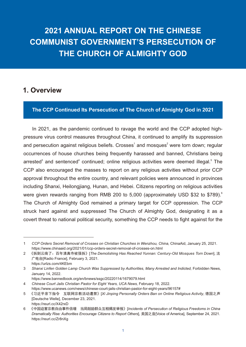## **2021 ANNUAL REPORT ON THE CHINESE COMMUNIST GOVERNMENT'S PERSECUTION OF THE CHURCH OF ALMIGHTY GOD**

#### **1. Overview**

#### **The CCP Continued Its Persecution of The Church of Almighty God in 2021**

In 2021, as the pandemic continued to ravage the world and the CCP adopted highpressure virus control measures throughout China, it continued to amplify its suppression and persecution against religious beliefs. Crosses<sup>1</sup> and mosques<sup>2</sup> were torn down; regular occurrences of house churches being frequently harassed and banned, Christians being arrested<sup>3</sup> and sentenced<sup>4</sup> continued; online religious activities were deemed illegal.<sup>5</sup> The CCP also encouraged the masses to report on any religious activities without prior CCP approval throughout the entire country, and relevant policies were announced in provinces including Shanxi, Heilongjiang, Hunan, and Hebei. Citizens reporting on religious activities were given rewards ranging from RMB 200 to 5,000 (approximately USD \$32 to \$789).<sup>6</sup> The Church of Almighty God remained a primary target for CCP oppression. The CCP struck hard against and suppressed The Church of Almighty God, designating it as a covert threat to national political security, something the CCP needs to fight against for the

<sup>1</sup> *CCP Orders Secret Removal of Crosses on Christian Churches in Wenzhou, China,* ChinaAid, January 25, 2021. https://www.chinaaid.org/2021/01/ccp-orders-secret-removal-of-crosses-on.html

<sup>2</sup> 《拆到云南了:百年清真寺被强拆》[*The Demolishing Has Reached Yunnan: Century-Old Mosques Torn Down*], 法 广电台[Radio France], February 3, 2021. https://urlzs.com/4KEbm

<sup>3</sup> *Shanxi Linfen Golden Lamp Church Was Suppressed by Authorities, Many Arrested and Indicted,* Forbidden News, January 14, 2022.

https://www.bannedbook.org/en/bnews/ssgc/20220114/1679079.html

<sup>4</sup> *Chinese Court Jails Christian Pastor for Eight Years, UCA News,* February 18, 2022. https://www.ucanews.com/news/chinese-court-jails-christian-pastor-for-eight-years/96157#

<sup>5</sup> 《习近平亲下指令 互联网宗教活动遭禁》[*Xi Jinping Personally Orders Ban on Online Religious Activity*, 德国之声 [Deutsche Welle], December 23, 2021. https://reurl.cc/X42rxD

<sup>6</sup> 《中国迫害宗教自由事件倍增 当局鼓励群众互相揭发举报》[*Incidents of Persecution of Religious Freedoms in China Dramatically Rise: Authorities Encourage Citizens to Report Others*], 美国之音[Voice of America], September 24, 2021. https://reurl.cc/Zr8nXg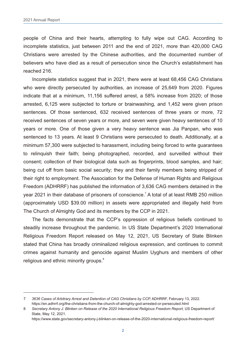people of China and their hearts, attempting to fully wipe out CAG. According to incomplete statistics, just between 2011 and the end of 2021, more than 420,000 CAG Christians were arrested by the Chinese authorities, and the documented number of believers who have died as a result of persecution since the Church's establishment has reached 216.

Incomplete statistics suggest that in 2021, there were at least 68,456 CAG Christians who were directly persecuted by authorities, an increase of 25,649 from 2020. Figures indicate that at a minimum, 11,156 suffered arrest, a 58% increase from 2020; of those arrested, 6,125 were subjected to torture or brainwashing, and 1,452 were given prison sentences. Of those sentenced, 632 received sentences of three years or more, 72 received sentences of seven years or more, and seven were given heavy sentences of 10 years or more. One of those given a very heavy sentence was Jia Panpan, who was sentenced to 13 years. At least 9 Christians were persecuted to death. Additionally, at a minimum 57,300 were subjected to harassment, including being forced to write guarantees to relinquish their faith; being photographed, recorded, and surveilled without their consent; collection of their biological data such as fingerprints, blood samples, and hair; being cut off from basic social security; they and their family members being stripped of their right to employment. The Association for the Defense of Human Rights and Religious Freedom (ADHRRF) has published the information of 3,636 CAG members detained in the year 2021 in their database of prisoners of conscience.<sup>7</sup> A total of at least RMB 250 million (approximately USD \$39.00 million) in assets were appropriated and illegally held from The Church of Almighty God and its members by the CCP in 2021.

The facts demonstrate that the CCP's oppression of religious beliefs continued to steadily increase throughout the pandemic. In US State Department's 2020 International Religious Freedom Report released on May 12, 2021, US Secretary of State Blinken stated that China has broadly criminalized religious expression, and continues to commit crimes against humanity and genocide against Muslim Uyghurs and members of other religious and ethnic minority groups.<sup>8</sup>

<sup>7</sup> *3636 Cases of Arbitrary Arrest and Detention of CAG Christians by CCP,* ADHRRF, February 13, 2022. https://en.adhrrf.org/the-christians-from-the-church-of-almighty-god-arrested-or-persecuted.html

<sup>8</sup> *Secretary Antony J. Blinken on Release of the 2020 International Religious Freedom Report,* US Department of State, May 12, 2021.

https://www.state.gov/secretary-antony-j-blinken-on-release-of-the-2020-international-religious-freedom-report/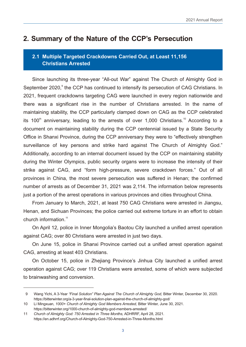#### **2. Summary of the Nature of the CCP's Persecution**

#### **2.1 Multiple Targeted Crackdowns Carried Out, at Least 11,156 Christians Arrested**

Since launching its three-year "All-out War" against The Church of Almighty God in September 2020,<sup>9</sup> the CCP has continued to intensify its persecution of CAG Christians. In 2021, frequent crackdowns targeting CAG were launched in every region nationwide and there was a significant rise in the number of Christians arrested. In the name of maintaining stability, the CCP particularly clamped down on CAG as the CCP celebrated its 100<sup>th</sup> anniversary, leading to the arrests of over 1,000 Christians.<sup>10</sup> According to a document on maintaining stability during the CCP centennial issued by a State Security Office in Shanxi Province, during the CCP anniversary they were to "effectively strengthen surveillance of key persons and strike hard against The Church of Almighty God." Additionally, according to an internal document issued by the CCP on maintaining stability during the Winter Olympics, public security organs were to increase the intensity of their strike against CAG, and "form high-pressure, severe crackdown forces." Out of all provinces in China, the most severe persecution was suffered in Henan; the confirmed number of arrests as of December 31, 2021 was 2,114. The information below represents just a portion of the arrest operations in various provinces and cities throughout China.

From January to March, 2021, at least 750 CAG Christians were arrested in Jiangsu, Henan, and Sichuan Provinces; the police carried out extreme torture in an effort to obtain church information.<sup>11</sup>

On April 12, police in Inner Mongolia's Baotou City launched a unified arrest operation against CAG; over 80 Christians were arrested in just two days.

On June 15, police in Shanxi Province carried out a unified arrest operation against CAG, arresting at least 403 Christians.

On October 15, police in Zhejiang Province's Jinhua City launched a unified arrest operation against CAG; over 119 Christians were arrested, some of which were subjected to brainwashing and conversion.

 <sup>9</sup> Wang Yichi, A 3-Year *"Final Solution" Plan Against The Church of Almighty God,* Bitter Winter, December 30, 2020. https://bitterwinter.org/a-3-year-final-solution-plan-against-the-church-of-almighty-god/

<sup>10</sup> Li Mingxuan, *1000+ Church of Almighty God Members Arrested,* Bitter Winter, June 30, 2021. https://bitterwinter.org/1000-church-of-almighty-god-members-arrested/

<sup>11</sup> *Church of Almighty God: 750 Arrested in Three Months,* ADHRRF, April 28, 2021. https://en.adhrrf.org/Church-of-Almighty-God-750-Arrested-in-Three-Months.html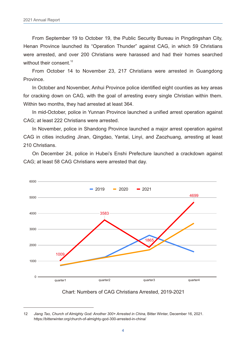From September 19 to October 19, the Public Security Bureau in Pingdingshan City, Henan Province launched its "Operation Thunder" against CAG, in which 59 Christians were arrested, and over 200 Christians were harassed and had their homes searched without their consent.<sup>12</sup>

From October 14 to November 23, 217 Christians were arrested in Guangdong Province.

In October and November, Anhui Province police identified eight counties as key areas for cracking down on CAG, with the goal of arresting every single Christian within them. Within two months, they had arrested at least 364.

In mid-October, police in Yunnan Province launched a unified arrest operation against CAG; at least 222 Christians were arrested.

In November, police in Shandong Province launched a major arrest operation against CAG in cities including Jinan, Qingdao, Yantai, Linyi, and Zaozhuang, arresting at least 210 Christians.

On December 24, police in Hubei's Enshi Prefecture launched a crackdown against CAG; at least 58 CAG Christians were arrested that day.





<sup>12</sup> *Jiang Tao, Church of Almighty God: Another 300+ Arrested in China,* Bitter Winter, December 16, 2021. https://bitterwinter.org/church-of-almighty-god-300-arrested-in-china/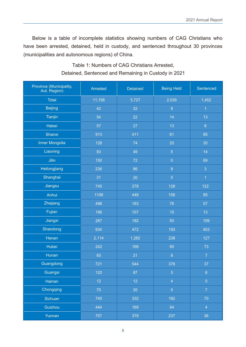Below is a table of incomplete statistics showing numbers of CAG Christians who have been arrested, detained, held in custody, and sentenced throughout 30 provinces (municipalities and autonomous regions) of China.

| Province (Municipality,<br>Aut. Region) | <b>Arrested</b> | <b>Detained</b> | <b>Being Held</b> | Sentenced      |
|-----------------------------------------|-----------------|-----------------|-------------------|----------------|
| <b>Total</b>                            | 11,156          | 5,727           | 2,039             | 1,452          |
| <b>Beijing</b>                          | 42              | 32              | $\bf 8$           | $\overline{1}$ |
| Tianjin                                 | 54              | 22              | 14                | 13             |
| Hebei                                   | 57              | 27              | 13                | $\bf 8$        |
| Shanxi                                  | 913             | 411             | 61                | 85             |
| <b>Inner Mongolia</b>                   | 128             | 74              | 20                | 30             |
| Liaoning                                | 93              | 49              | $\overline{5}$    | 14             |
| Jilin                                   | 150             | 72              | $\boldsymbol{0}$  | 69             |
| Heilongjiang                            | 236             | 86              | $\boldsymbol{8}$  | 3              |
| Shanghai                                | 31              | 20              | $\boldsymbol{0}$  | $\overline{1}$ |
| Jiangsu                                 | 745             | 278             | 128               | 122            |
| Anhui                                   | 1106            | 448             | 156               | 85             |
| Zhejiang                                | 496             | 183             | 78                | 57             |
| Fujian                                  | 196             | 107             | 15                | 13             |
| Jiangxi                                 | 267             | 182             | 50                | 109            |
| Shandong                                | 934             | 472             | 193               | 453            |
| Henan                                   | 2,114           | 1,282           | 238               | 127            |
| Hubei                                   | 242             | 166             | 65                | 73             |
| Hunan                                   | 60              | 21              | $\overline{8}$    | $\overline{7}$ |
| Guangdong                               | 721             | 544             | 378               | 37             |
| Guangxi                                 | 120             | 87              | $\overline{5}$    | $\bf 8$        |
| Hainan                                  | 12 <sub>2</sub> | 12              | $\overline{4}$    | $\mathbf 0$    |
| Chongqing                               | 75              | 35              | $\overline{5}$    | $\overline{7}$ |
| Sichuan                                 | 740             | 332             | 182               | 70             |
| Guizhou                                 | 444             | 169             | 84                | $\overline{4}$ |
| Yunnan                                  | 757             | 379             | 237               | 36             |

#### Table 1: Numbers of CAG Christians Arrested, Detained, Sentenced and Remaining in Custody in 2021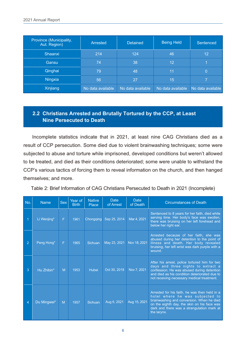| Province (Municipality,<br>Aut. Region) | Arrested          | <b>Detained</b>   | <b>Being Held</b> | Sentenced         |
|-----------------------------------------|-------------------|-------------------|-------------------|-------------------|
| Shaanxi                                 | 214               | 124               | 46                | 12                |
| Gansu                                   | 74                | 38                | 12                |                   |
| Qinghai                                 | 79                | 48                | 11                | 0                 |
| Ningxia                                 | 56                | 27                | 15                |                   |
| Xinjiang                                | No data available | No data available | No data available | No data available |

#### **2.2 Christians Arrested and Brutally Tortured by the CCP, at Least Nine Persecuted to Death**

Incomplete statistics indicate that in 2021, at least nine CAG Christians died as a result of CCP persecution. Some died due to violent brainwashing techniques; some were subjected to abuse and torture while imprisoned, developed conditions but weren't allowed to be treated, and died as their conditions deteriorated; some were unable to withstand the CCP's various tactics of forcing them to reveal information on the church, and then hanged themselves; and more.

Table 2: Brief Information of CAG Christians Persecuted to Death in 2021 (Incomplete)

| No.            | <b>Name</b> | <b>Sex</b> | Year of<br><b>Birth</b> | <b>Native</b><br><b>Place</b> | <b>Date</b><br>of Arrest | <b>Date</b><br>of Death | <b>Circumstances of Death</b>                                                                                                                                                                                                             |
|----------------|-------------|------------|-------------------------|-------------------------------|--------------------------|-------------------------|-------------------------------------------------------------------------------------------------------------------------------------------------------------------------------------------------------------------------------------------|
|                | Li Wenjing* | F          | 1961                    | Chongqing                     | Sep 25, 2014             | Mar 4, 2021             | Sentenced to 8 years for her faith, died while<br>serving time. Her body's face was swollen,<br>there was bruising on her left forehead and<br>below her right ear.                                                                       |
| $\overline{2}$ | Peng Hong*  | F          | 1965                    | Sichuan                       | May 23, 2021             | Nov 18, 2021            | Arrested because of her faith, she was<br>abused during her detention to the point of<br>illness and death. Her body revealed<br>bruising, her left wrist was dark purple with a<br>wound.                                                |
| 3              | Hu Zhibin*  | M          | 1953                    | Hubei                         | Oct 30, 2018             | Nov 7, 2021             | After his arrest, police tortured him for two<br>days and three nights to extract a<br>confession. He was abused during detention<br>and died as his condition deteriorated due to<br>not receiving necessary medical treatment.          |
| 4              | Du Mingwei* | M          | 1957                    | Sichuan                       | Aug 6, 2021              | Aug 15, 2021            | Arrested for his faith, he was then held in a<br>hotel where he was subjected to<br>brainwashing and conversion. When he died<br>on the eighth day, the skin on his face was<br>dark and there was a strangulation mark at<br>the larynx. |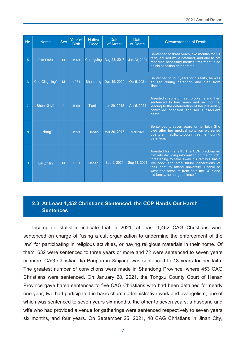| No.            | <b>Name</b>   | Sex | Year of<br><b>Birth</b> | <b>Native</b><br>Place | <b>Date</b><br>of Arrest | <b>Date</b><br>of Death | <b>Circumstances of Death</b>                                                                                                                                                                                                                                                                                          |
|----------------|---------------|-----|-------------------------|------------------------|--------------------------|-------------------------|------------------------------------------------------------------------------------------------------------------------------------------------------------------------------------------------------------------------------------------------------------------------------------------------------------------------|
| 5              | Qin Dafu      | M   | 1963                    | Chongqing              | Aug 23, 2018             | Jun 23, 2021            | Sentenced to three years, two months for his<br>faith, abused while detained, and due to not<br>receiving necessary medical treatment, died<br>as his condition deteriorated.                                                                                                                                          |
| 6              | Chu Qingming* | M   | 1971                    | Shandong               | Dec 15, 2020             | Oct 6, 2021             | Sentenced to four years for his faith, he was<br>abused during detention and died from<br>illness.                                                                                                                                                                                                                     |
| $\overline{7}$ | Shen Xinyi*   | F   | 1969                    | Tianjin                | Jun 29, 2018             | Apr 5, 2021             | Arrested in spite of heart problems and then<br>sentenced to four years and six months,<br>leading to the deterioration of her previously<br>controlled condition and her subsequent<br>death.                                                                                                                         |
| 8              | Li Hong*      | F   | 1959                    | Henan                  | Mar 30, 2017             | <b>Mar 2021</b>         | Sentenced to seven years for her faith. She<br>died after her medical condition worsened<br>due to an inability to obtain treatment during<br>detention.                                                                                                                                                               |
| 9              | Liu Zhilin    | M   | 1951                    | Henan                  | Sep 9, 2021              | Sep 11, 2021            | Arrested for his faith. The CCP blackmailed<br>him into divulging information on the church,<br>threatening to take away his family's basic<br>livelihood and strip future generations of<br>their right to attend university. Unable to<br>withstand pressure from both the CCP and<br>his family, he hanged himself. |

#### **2.3 At Least 1,452 Christians Sentenced, the CCP Hands Out Harsh Sentences**

Incomplete statistics indicate that in 2021, at least 1,452 CAG Christians were sentenced on charge of "using a cult organization to undermine the enforcement of the law" for participating in religious activities, or having religious materials in their home. Of them, 632 were sentenced to three years or more and 72 were sentenced to seven years or more; CAG Christian Jia Panpan in Xinjiang was sentenced to 13 years for her faith. The greatest number of convictions were made in Shandong Province, where 453 CAG Christians were sentenced. On January 28, 2021, the Tongxu County Court of Henan Province gave harsh sentences to five CAG Christians who had been detained for nearly one year; two had participated in basic church administrative work and evangelism, one of which was sentenced to seven years six months, the other to seven years; a husband and wife who had provided a venue for gatherings were sentenced respectively to seven years six months, and four years. On September 25, 2021, 48 CAG Christians in Jinan City,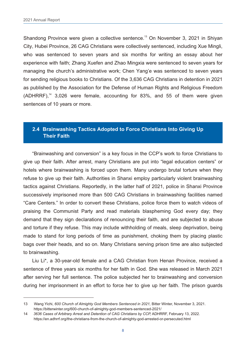Shandong Province were given a collective sentence.<sup>13</sup> On November 3, 2021 in Shiyan City, Hubei Province, 26 CAG Christians were collectively sentenced, including Xue Mingli, who was sentenced to seven years and six months for writing an essay about her experience with faith; Zhang Xuefen and Zhao Mingxia were sentenced to seven years for managing the church's administrative work; Chen Yang'e was sentenced to seven years for sending religious books to Christians. Of the 3,636 CAG Christians in detention in 2021 as published by the Association for the Defense of Human Rights and Religious Freedom  $(ADHRRF)$ ,<sup>14</sup> 3,026 were female, accounting for 83%, and 55 of them were given sentences of 10 years or more.

#### **2.4 Brainwashing Tactics Adopted to Force Christians Into Giving Up Their Faith**

"Brainwashing and conversion" is a key focus in the CCP's work to force Christians to give up their faith. After arrest, many Christians are put into "legal education centers" or hotels where brainwashing is forced upon them. Many undergo brutal torture when they refuse to give up their faith. Authorities in Shanxi employ particularly violent brainwashing tactics against Christians. Reportedly, in the latter half of 2021, police in Shanxi Province successively imprisoned more than 500 CAG Christians in brainwashing facilities named "Care Centers." In order to convert these Christians, police force them to watch videos of praising the Communist Party and read materials blaspheming God every day; they demand that they sign declarations of renouncing their faith, and are subjected to abuse and torture if they refuse. This may include withholding of meals, sleep deprivation, being made to stand for long periods of time as punishment, choking them by placing plastic bags over their heads, and so on. Many Christians serving prison time are also subjected to brainwashing.

Liu Li\*, a 30-year-old female and a CAG Christian from Henan Province, received a sentence of three years six months for her faith in God. She was released in March 2021 after serving her full sentence. The police subjected her to brainwashing and conversion during her imprisonment in an effort to force her to give up her faith. The prison guards

<sup>13</sup> Wang Yichi, *600 Church of Almighty God Members Sentenced in 2021,* Bitter Winter, November 3, 2021. https://bitterwinter.org/600-church-of-almighty-god-members-sentenced-2021/

<sup>14</sup> *3636 Cases of Arbitrary Arrest and Detention of CAG Christians by CCP,* ADHRRF, February 13, 2022. https://en.adhrrf.org/the-christians-from-the-church-of-almighty-god-arrested-or-persecuted.html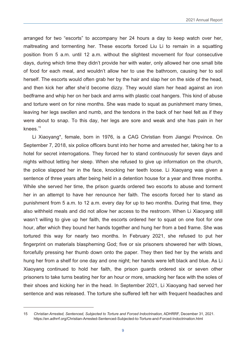arranged for two "escorts" to accompany her 24 hours a day to keep watch over her, maltreating and tormenting her. These escorts forced Liu Li to remain in a squatting position from 5 a.m. until 12 a.m. without the slightest movement for four consecutive days, during which time they didn't provide her with water, only allowed her one small bite of food for each meal, and wouldn't allow her to use the bathroom, causing her to soil herself. The escorts would often grab her by the hair and slap her on the side of the head, and then kick her after she'd become dizzy. They would slam her head against an iron bedframe and whip her on her back and arms with plastic coat hangers. This kind of abuse and torture went on for nine months. She was made to squat as punishment many times, leaving her legs swollen and numb, and the tendons in the back of her heel felt as if they were about to snap. To this day, her legs are sore and weak and she has pain in her knees $15$ 

Li Xiaoyang\*, female, born in 1976, is a CAG Christian from Jiangxi Province. On September 7, 2018, six police officers burst into her home and arrested her, taking her to a hotel for secret interrogations. They forced her to stand continuously for seven days and nights without letting her sleep. When she refused to give up information on the church, the police slapped her in the face, knocking her teeth loose. Li Xiaoyang was given a sentence of three years after being held in a detention house for a year and three months. While she served her time, the prison guards ordered two escorts to abuse and torment her in an attempt to have her renounce her faith. The escorts forced her to stand as punishment from 5 a.m. to 12 a.m. every day for up to two months. During that time, they also withheld meals and did not allow her access to the restroom. When Li Xiaoyang still wasn't willing to give up her faith, the escorts ordered her to squat on one foot for one hour, after which they bound her hands together and hung her from a bed frame. She was tortured this way for nearly two months. In February 2021, she refused to put her fingerprint on materials blaspheming God; five or six prisoners showered her with blows, forcefully pressing her thumb down onto the paper. They then tied her by the wrists and hung her from a shelf for one day and one night; her hands were left black and blue. As Li Xiaoyang continued to hold her faith, the prison guards ordered six or seven other prisoners to take turns beating her for an hour or more, smacking her face with the soles of their shoes and kicking her in the head. In September 2021, Li Xiaoyang had served her sentence and was released. The torture she suffered left her with frequent headaches and

<sup>15</sup> *Christian Arrested, Sentenced, Subjected to Torture and Forced Indoctrination,* ADHRRF, December 31, 2021. https://en.adhrrf.org/Christian-Arrested-Sentenced-Subjected-to-Torture-and-Forced-Indoctrination.html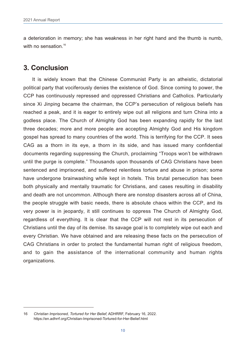a deterioration in memory; she has weakness in her right hand and the thumb is numb, with no sensation.<sup>16</sup>

#### **3. Conclusion**

It is widely known that the Chinese Communist Party is an atheistic, dictatorial political party that vociferously denies the existence of God. Since coming to power, the CCP has continuously repressed and oppressed Christians and Catholics. Particularly since Xi Jinping became the chairman, the CCP's persecution of religious beliefs has reached a peak, and it is eager to entirely wipe out all religions and turn China into a godless place. The Church of Almighty God has been expanding rapidly for the last three decades; more and more people are accepting Almighty God and His kingdom gospel has spread to many countries of the world. This is terrifying for the CCP. It sees CAG as a thorn in its eye, a thorn in its side, and has issued many confidential documents regarding suppressing the Church, proclaiming "Troops won't be withdrawn until the purge is complete." Thousands upon thousands of CAG Christians have been sentenced and imprisoned, and suffered relentless torture and abuse in prison; some have undergone brainwashing while kept in hotels. This brutal persecution has been both physically and mentally traumatic for Christians, and cases resulting in disability and death are not uncommon. Although there are nonstop disasters across all of China, the people struggle with basic needs, there is absolute chaos within the CCP, and its very power is in jeopardy, it still continues to oppress The Church of Almighty God, regardless of everything. It is clear that the CCP will not rest in its persecution of Christians until the day of its demise. Its savage goal is to completely wipe out each and every Christian. We have obtained and are releasing these facts on the persecution of CAG Christians in order to protect the fundamental human right of religious freedom, and to gain the assistance of the international community and human rights organizations.

<sup>16</sup> *Christian Imprisoned, Tortured for Her Belief,* ADHRRF, February 16, 2022. https://en.adhrrf.org/Christian-Imprisoned-Tortured-for-Her-Belief.html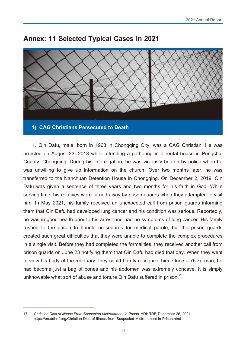

#### **Annex: 11 Selected Typical Cases in 2021**

1. Qin Dafu, male, born in 1963 in Chongqing City, was a CAG Christian. He was arrested on August 23, 2018 while attending a gathering in a rental house in Pengshui County, Chongqing. During his interrogation, he was viciously beaten by police when he was unwilling to give up information on the church. Over two months later, he was transferred to the Nanchuan Detention House in Chongqing. On December 2, 2019, Qin Dafu was given a sentence of three years and two months for his faith in God. While serving time, his relatives were turned away by prison guards when they attempted to visit him. In May 2021, his family received an unexpected call from prison guards informing them that Qin Dafu had developed lung cancer and his condition was serious. Reportedly, he was in good health prior to his arrest and had no symptoms of lung cancer. His family rushed to the prison to handle procedures for medical parole, but the prison guards created such great difficulties that they were unable to complete the complex procedures in a single visit. Before they had completed the formalities, they received another call from prison guards on June 23 notifying them that Qin Dafu had died that day. When they went to view his body at the mortuary, they could hardly recognize him. Once a 75-kg man, he had become just a bag of bones and his abdomen was extremely concave. It is simply unknowable what sort of abuse and torture Qin Dafu suffered in prison.<sup>17</sup>

<sup>17</sup> *Christian Dies of Illness From Suspected Mistreatment in Prison,* ADHRRF, December 26, 2021. https://en.adhrrf.org/Christian-Dies-of-Illness-from-Suspected-Mistreatment-in-Prison.html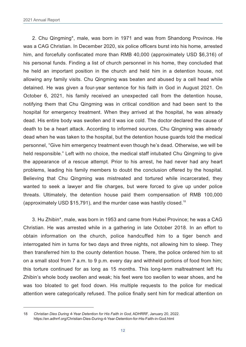2. Chu Qingming\*, male, was born in 1971 and was from Shandong Province. He was a CAG Christian. In December 2020, six police officers burst into his home, arrested him, and forcefully confiscated more than RMB 40,000 (approximately USD \$6,316) of his personal funds. Finding a list of church personnel in his home, they concluded that he held an important position in the church and held him in a detention house, not allowing any family visits. Chu Qingming was beaten and abused by a cell head while detained. He was given a four-year sentence for his faith in God in August 2021. On October 6, 2021, his family received an unexpected call from the detention house, notifying them that Chu Qingming was in critical condition and had been sent to the hospital for emergency treatment. When they arrived at the hospital, he was already dead. His entire body was swollen and it was ice cold. The doctor declared the cause of death to be a heart attack. According to informed sources, Chu Qingming was already dead when he was taken to the hospital, but the detention house guards told the medical personnel, "Give him emergency treatment even though he's dead. Otherwise, we will be held responsible." Left with no choice, the medical staff intubated Chu Qingming to give the appearance of a rescue attempt. Prior to his arrest, he had never had any heart problems, leading his family members to doubt the conclusion offered by the hospital. Believing that Chu Qingming was mistreated and tortured while incarcerated, they wanted to seek a lawyer and file charges, but were forced to give up under police threats. Ultimately, the detention house paid them compensation of RMB 100,000 (approximately USD \$15,791), and the murder case was hastily closed.<sup>18</sup>

3. Hu Zhibin\*, male, was born in 1953 and came from Hubei Province; he was a CAG Christian. He was arrested while in a gathering in late October 2018. In an effort to obtain information on the church, police handcuffed him to a tiger bench and interrogated him in turns for two days and three nights, not allowing him to sleep. They then transferred him to the county detention house. There, the police ordered him to sit on a small stool from 7 a.m. to 9 p.m. every day and withheld portions of food from him; this torture continued for as long as 15 months. This long-term maltreatment left Hu Zhibin's whole body swollen and weak; his feet were too swollen to wear shoes, and he was too bloated to get food down. His multiple requests to the police for medical attention were categorically refused. The police finally sent him for medical attention on

<sup>18</sup> *Christian Dies During 4-Year Detention for His Faith in God,* ADHRRF, January 20, 2022. https://en.adhrrf.org/Christian-Dies-During-4-Year-Detention-for-His-Faith-in-God.html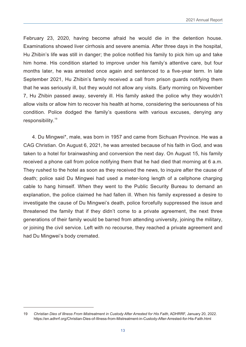February 23, 2020, having become afraid he would die in the detention house. Examinations showed liver cirrhosis and severe anemia. After three days in the hospital, Hu Zhibin's life was still in danger; the police notified his family to pick him up and take him home. His condition started to improve under his family's attentive care, but four months later, he was arrested once again and sentenced to a five-year term. In late September 2021, Hu Zhibin's family received a call from prison guards notifying them that he was seriously ill, but they would not allow any visits. Early morning on November 7, Hu Zhibin passed away, severely ill. His family asked the police why they wouldn't allow visits or allow him to recover his health at home, considering the seriousness of his condition. Police dodged the family's questions with various excuses, denying any responsibility.<sup>19</sup>

4. Du Mingwei\*, male, was born in 1957 and came from Sichuan Province. He was a CAG Christian. On August 6, 2021, he was arrested because of his faith in God, and was taken to a hotel for brainwashing and conversion the next day. On August 15, his family received a phone call from police notifying them that he had died that morning at 6 a.m. They rushed to the hotel as soon as they received the news, to inquire after the cause of death; police said Du Mingwei had used a meter-long length of a cellphone charging cable to hang himself. When they went to the Public Security Bureau to demand an explanation, the police claimed he had fallen ill. When his family expressed a desire to investigate the cause of Du Mingwei's death, police forcefully suppressed the issue and threatened the family that if they didn't come to a private agreement, the next three generations of their family would be barred from attending university, joining the military, or joining the civil service. Left with no recourse, they reached a private agreement and had Du Mingwei's body cremated.

<sup>19</sup> *Christian Dies of Illness From Mistreatment in Custody After Arrested for His Faith,* ADHRRF, January 20, 2022. https://en.adhrrf.org/Christian-Dies-of-Illness-from-Mistreatment-in-Custody-After-Arrested-for-His-Faith.html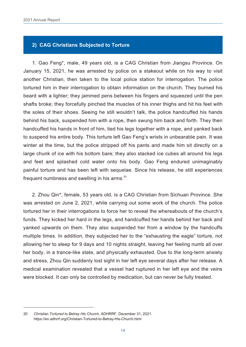#### **2) CAG Christians Subjected to Torture**

1. Gao Feng\*, male, 49 years old, is a CAG Christian from Jiangsu Province. On January 15, 2021, he was arrested by police on a stakeout while on his way to visit another Christian, then taken to the local police station for interrogation. The police tortured him in their interrogation to obtain information on the church. They burned his beard with a lighter; they jammed pens between his fingers and squeezed until the pen shafts broke; they forcefully pinched the muscles of his inner thighs and hit his feet with the soles of their shoes. Seeing he still wouldn't talk, the police handcuffed his hands behind his back, suspended him with a rope, then swung him back and forth. They then handcuffed his hands in front of him, tied his legs together with a rope, and yanked back to suspend his entire body. This torture left Gao Feng's wrists in unbearable pain. It was winter at the time, but the police stripped off his pants and made him sit directly on a large chunk of ice with his bottom bare; they also stacked ice cubes all around his legs and feet and splashed cold water onto his body. Gao Feng endured unimaginably painful torture and has been left with sequelae. Since his release, he still experiences frequent numbness and swelling in his arms. $20$ 

2. Zhou Qin\*, female, 53 years old, is a CAG Christian from Sichuan Province. She was arrested on June 2, 2021, while carrying out some work of the church. The police tortured her in their interrogations to force her to reveal the whereabouts of the church's funds. They kicked her hard in the legs, and handcuffed her hands behind her back and yanked upwards on them. They also suspended her from a window by the handcuffs multiple times. In addition, they subjected her to the "exhausting the eagle" torture, not allowing her to sleep for 9 days and 10 nights straight, leaving her feeling numb all over her body, in a trance-like state, and physically exhausted. Due to the long-term anxiety and stress, Zhou Qin suddenly lost sight in her left eye several days after her release. A medical examination revealed that a vessel had ruptured in her left eye and the veins were blocked. It can only be controlled by medication, but can never be fully treated.

<sup>20</sup> *Christian Tortured to Betray His Church,* ADHRRF, December 31, 2021. https://en.adhrrf.org/Christian-Tortured-to-Betray-His-Church.html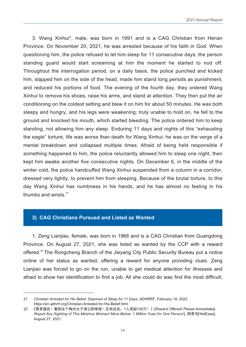3. Wang Xinhui\*, male, was born in 1991 and is a CAG Christian from Henan Province. On November 20, 2021, he was arrested because of his faith in God. When questioning him, the police refused to let him sleep for 11 consecutive days; the person standing guard would start screaming at him the moment he started to nod off. Throughout the interrogation period, on a daily basis, the police punched and kicked him, slapped him on the side of the head, made him stand long periods as punishment, and reduced his portions of food. The evening of the fourth day, they ordered Wang Xinhui to remove his shoes, raise his arms, and stand at attention. They then put the air conditioning on the coldest setting and blew it on him for about 50 minutes. He was both sleepy and hungry, and his legs were weakening; truly unable to hold on, he fell to the ground and knocked his mouth, which started bleeding. The police ordered him to keep standing, not allowing him any sleep. Enduring 11 days and nights of this "exhausting the eagle" torture, life was worse than death for Wang Xinhui; he was on the verge of a mental breakdown and collapsed multiple times. Afraid of being held responsible if something happened to him, the police reluctantly allowed him to sleep one night, then kept him awake another five consecutive nights. On December 6, in the middle of the winter cold, the police handcuffed Wang Xinhui suspended from a column in a corridor, dressed very lightly, to prevent him from sleeping. Because of the brutal torture, to this day Wang Xinhui has numbness in his hands, and he has almost no feeling in his thumbs and wrists. $21$ 

#### **3) CAG Christians Pursued and Listed as Wanted**

1. Zeng Lianjiao, female, was born in 1968 and is a CAG Christian from Guangdong Province. On August 27, 2021, she was listed as wanted by the CCP with a reward offered.<sup>22</sup> The Rongcheng Branch of the Jieyang City Public Security Bureau put a notice online of her status as wanted, offering a reward for anyone providing clues. Zeng Lianjiao was forced to go on the run, unable to get medical attention for illnesses and afraid to show her identification to find a job. All she could do was find the most difficult,

<sup>21</sup> *Christian Arrested for His Belief, Deprived of Sleep for 11 Days,* ADHRRF, February 18, 2022. https://en.adhrrf.org/Christian-Arrested-for-His-Belief.html

<sup>22 《</sup>悬赏通告!看到这个梅州女子请立即举报!还有这些,1人奖励100万!》[Reward Offered! Please Immediately  *Report Any Sighting of This Meizhou Woman! More Below: 1 Million Yuan for One Person!*], 网易号[NetEase], August 27, 2021.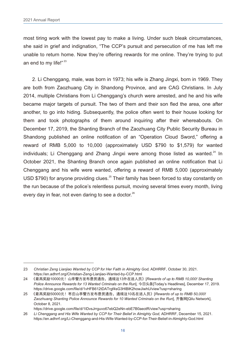most tiring work with the lowest pay to make a living. Under such bleak circumstances, she said in grief and indignation, "The CCP's pursuit and persecution of me has left me unable to return home. Now they're offering rewards for me online. They're trying to put an end to my life!"<sup>23</sup>

2. Li Chenggang, male, was born in 1973; his wife is Zhang Jingxi, born in 1969. They are both from Zaozhuang City in Shandong Province, and are CAG Christians. In July 2014, multiple Christians from Li Chenggang's church were arrested, and he and his wife became major targets of pursuit. The two of them and their son fled the area, one after another, to go into hiding. Subsequently, the police often went to their house looking for them and took photographs of them around inquiring after their whereabouts. On December 17, 2019, the Shanting Branch of the Zaozhuang City Public Security Bureau in Shandong published an online notification of an "Operation Cloud Sword," offering a reward of RMB 5,000 to 10,000 (approximately USD \$790 to \$1,579) for wanted individuals; Li Chenggang and Zhang Jingxi were among those listed as wanted.<sup>24</sup> In October 2021, the Shanting Branch once again published an online notification that Li Chenggang and his wife were wanted, offering a reward of RMB 5,000 (approximately USD \$790) for anyone providing clues.<sup>25</sup> Their family has been forced to stay constantly on the run because of the police's relentless pursuit, moving several times every month, living every day in fear, not even daring to see a doctor.<sup>26</sup>

https://drive.google.com/file/d/1IDvsJrrguvo67ebQ2eNn-ebE7B0aeotR/view?usp=sharing

<sup>23</sup> *Christian Zeng Lianjiao Wanted by CCP for Her Faith in Almighty God,* ADHRRF, October 30, 2021. https://en.adhrrf.org/Christian-Zeng-Lianjiao-Wanted-by-CCP.html

<sup>24</sup> 《最高奖励10000元!山亭警方发布悬赏通告,通缉这13外在逃人员》[*Rewards of up to RMB 10,000! Shanting Police Announce Rewards for 13 Wanted Criminals on the Run*], 今日头条[Today's Headlines], December 17, 2019. https://drive.google.com/file/d/1vHFB612tDATrgf4sG3HlBlK2howJiwhU/view?usp=sharing

<sup>25</sup> 《最高奖励50000元!枣庄山亭警方发布悬赏通告,通缉这10名在逃人员》[*Rewards of up to RMB 50,000! Zaozhuang Shanting Police Announce Rewards for 10 Wanted Criminals on the Run*], 齐鲁网[Qilu Network], October 8, 2021.

<sup>26</sup> *Li Chenggang and His Wife Wanted by CCP for Their Belief in Almighty God,* ADHRRF, December 15, 2021. https://en.adhrrf.org/Li-Chenggang-and-His-Wife-Wanted-by-CCP-for-Their-Belief-in-Almighty-God.html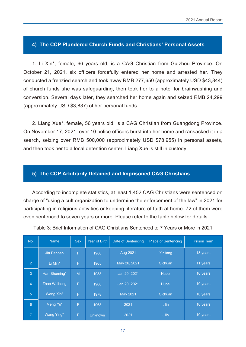#### **4) The CCP Plundered Church Funds and Christians' Personal Assets**

1. Li Xin\*, female, 66 years old, is a CAG Christian from Guizhou Province. On October 21, 2021, six officers forcefully entered her home and arrested her. They conducted a frenzied search and took away RMB 277,650 (approximately USD \$43,844) of church funds she was safeguarding, then took her to a hotel for brainwashing and conversion. Several days later, they searched her home again and seized RMB 24,299 (approximately USD \$3,837) of her personal funds.

2. Liang Xue\*, female, 56 years old, is a CAG Christian from Guangdong Province. On November 17, 2021, over 10 police officers burst into her home and ransacked it in a search, seizing over RMB 500,000 (approximately USD \$78,955) in personal assets, and then took her to a local detention center. Liang Xue is still in custody.

#### **5) The CCP Arbitrarily Detained and Imprisoned CAG Christians**

According to incomplete statistics, at least 1,452 CAG Christians were sentenced on charge of "using a cult organization to undermine the enforcement of the law" in 2021 for participating in religious activities or keeping literature of faith at home. 72 of them were even sentenced to seven years or more. Please refer to the table below for details.

| No.             | <b>Name</b><br><b>Sex</b> |   | Year of Birth  | Date of Sentencing | <b>Place of Sentencing</b> | <b>Prison Term</b> |
|-----------------|---------------------------|---|----------------|--------------------|----------------------------|--------------------|
| $\overline{1}$  | Jia Panpan                | F |                | Aug 2021           | Xinjiang                   | 13 years           |
| $\overline{2}$  | F<br>Li Min*              |   | 1965           | May 26, 2021       | <b>Sichuan</b>             | 11 years           |
| $\overline{3}$  | Han Shuming*<br>M         |   | 1988           | Jan 20, 2021       | <b>Hubei</b>               | 10 years           |
| $\overline{4}$  | Zhao Weihong<br>F         |   | 1968           | Jan 20, 2021       | <b>Hubei</b>               | 10 years           |
| $5\phantom{1}$  | Wang Xin*<br>F            |   | 1978           | May 2021           | <b>Sichuan</b>             | 10 years           |
| $6\phantom{1}6$ | Meng Yu*<br>F             |   | 1968           | 2021               | <b>Jilin</b>               | 10 years           |
| $\overline{7}$  | Wang Ying*<br>F           |   | <b>Unknown</b> | 2021               | <b>Jilin</b>               | 10 years           |

Table 3: Brief Information of CAG Christians Sentenced to 7 Years or More in 2021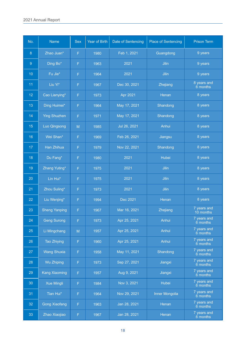| No.             | Name                 | Sex                                    | Year of Birth | Date of Sentencing | Place of Sentencing | Prison Term               |
|-----------------|----------------------|----------------------------------------|---------------|--------------------|---------------------|---------------------------|
| 8 <sup>°</sup>  | Zhao Juan*           | $\mathsf{F}^{\scriptscriptstyle\perp}$ | 1980          | Feb 1, 2021        | Guangdong           | 9 years                   |
| 9 <sup>°</sup>  | Ding Bo*             | $\mathsf{F}^{\scriptscriptstyle\perp}$ | 1963          | 2021               | Jilin               | 9 years                   |
| 10 <sup>°</sup> | Fu Jie*              | $\mathsf{F}^{\scriptscriptstyle\perp}$ | 1964          | 2021               | Jilin               | 9 years                   |
| 11 <sub>1</sub> | Liu Yi*              | $\mathsf{F}^{\scriptscriptstyle\perp}$ | 1967          | Dec 30, 2021       | Zhejiang            | 8 years and<br>$6$ months |
| 12 <sup>°</sup> | Cao Lianying*        | $\mathsf{F}^{\scriptscriptstyle\perp}$ | 1973          | Apr 2021           | Henan               | 8 years                   |
| 13 <sup>°</sup> | Ding Huimei*         | $\mathsf{F}$ .                         | 1964          | May 17, 2021       | Shandong            | 8 years                   |
| 14              | <b>Ying Shuzhen</b>  | $\mathsf{F}$ .                         | 1971          | May 17, 2021       | Shandong            | 8 years                   |
| 15              | Luo Qingsong         | M                                      | 1985          | Jul 26, 2021       | Anhui               | 8 years                   |
| 16              | Wei Shan*            | $\mathsf{F}^{\scriptscriptstyle\perp}$ | 1969          | Feb 26, 2021       | Jiangsu             | 8 years                   |
| 17 <sup>°</sup> | Han Zhihua           | $\mathsf{F}^{\scriptscriptstyle\perp}$ | 1979          | Nov 22, 2021       | Shandong            | 8 years                   |
| 18              | Du Fang <sup>*</sup> | $\mathsf{F}^{\scriptscriptstyle\perp}$ | 1980          | 2021               | Hubei               | 8 years                   |
| 19              | Zhang Yuting*        | $\mathsf{F}^{\scriptscriptstyle\perp}$ | 1975          | 2021               | Jilin               | 8 years                   |
| 20              | Lin Hui*             | $\mathsf{F}^{\scriptscriptstyle\perp}$ | 1975          | 2021               | Jilin               | 8 years                   |
| 21              | Zhou Suling*         | $\mathsf{F}$ .                         | 1973          | 2021               | Jilin               | 8 years                   |
| 22              | Liu Wenjing*         | $\mathsf{F}$ .                         | 1994          | Dec 2021           | Henan               | 8 years                   |
| 23              | <b>Sheng Yanping</b> | $F$ .                                  | 1967          | Mar 16, 2021       | Zhejiang            | 7 years and<br>10 months  |
| 24              | Geng Surong          | $F^{\pm}$                              | 1973          | Apr 25, 2021       | Anhui               | 7 years and<br>6 months   |
| 25              | Li Mingchang         | M                                      | 1957          | Apr 25, 2021       | Anhui               | 7 years and<br>6 months   |
| 26              | Tao Zhiying          | $\mathsf{F}$                           | 1960          | Apr 25, 2021       | Anhui               | 7 years and<br>6 months   |
| 27              | <b>Wang Shuxia</b>   | $\mathsf{F}$ .                         | 1958          | May 11, 2021       | Shandong            | 7 years and<br>6 months   |
| 28              | Wu Zhiping           | $\mathsf{F}^{\scriptscriptstyle\perp}$ | 1973          | Sep 27, 2021       | Jiangxi             | 7 years and<br>6 months   |
| 29              | <b>Kang Xiaoming</b> | $\mathsf{F}^{\scriptscriptstyle{1}}$   | 1957          | Aug 9, 2021        | Jiangxi             | 7 years and<br>6 months   |
| 30              | Xue Mingli           | $\mathsf{F}^{\scriptscriptstyle\perp}$ | 1984          | Nov 3, 2021        | Hubei               | 7 years and<br>6 months   |
| 31              | Tian Hui*            | $\mathsf{F}^{\scriptscriptstyle\perp}$ | 1964          | Nov 29, 2021       | Inner Mongolia      | 7 years and<br>6 months   |
| 32              | <b>Gong Xiaofang</b> | $\mathsf{F}$                           | 1963          | Jan 28, 2021       | Henan               | 7 years and<br>6 months   |
| 33              | Zhao Xiaojiao        | $\mathsf{F}^{\scriptscriptstyle{1}}$   | 1967          | Jan 28, 2021       | Henan               | 7 years and<br>6 months   |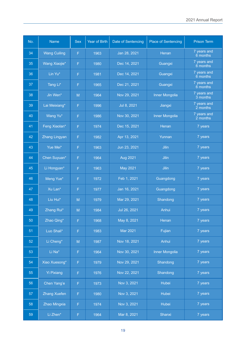| No. | <b>Name</b>         | <b>Sex</b>                     | <b>Year of Birth</b>             | Date of Sentencing | <b>Place of Sentencing</b> | <b>Prison Term</b>      |
|-----|---------------------|--------------------------------|----------------------------------|--------------------|----------------------------|-------------------------|
| 34  | <b>Wang Cuiling</b> | F                              | 1963                             | Jan 28, 2021       | Henan                      | 7 years and<br>6 months |
| 35  | Wang Xiaojie*       | F                              | 1980                             | Dec 14, 2021       | Guangxi                    |                         |
| 36  | Lin Yu*             | F                              | 1981                             | Dec 14, 2021       | Guangxi                    | 7 years and<br>6 months |
| 37  | Tang Li*            | F                              | 1965                             | Dec 21, 2021       | Guangxi                    | 7 years and<br>6 months |
| 38  | Jin Wen*            | M                              | 1964                             | Nov 29, 2021       | <b>Inner Mongolia</b>      | 7 years and<br>3 months |
| 39  | Lai Meixiang*       | F                              | 1996                             | Jul 8, 2021        | Jiangxi                    | 7 years and<br>2 months |
| 40  | Wang Yu*            | F                              | 1986                             | Nov 30, 2021       | <b>Inner Mongolia</b>      | 7 years and<br>2 months |
| 41  | Feng Xiaolan*       | F                              | 1974                             | Dec 15, 2021       | Henan                      | 7 years                 |
| 42  | Zhang Lingyan       | F                              | 1982                             | Apr 13, 2021       | Yunnan                     | 7 years                 |
| 43  | Yue Mei*            | F                              | 1963                             | Jun 23, 2021       | Jilin                      | 7 years                 |
| 44  | Chen Suyuan*        | Jilin<br>Aug 2021<br>1964<br>F |                                  |                    | 7 years                    |                         |
| 45  | Li Hongyan*         | <b>May 2021</b><br>F<br>1963   |                                  | Jilin              | 7 years                    |                         |
| 46  | Meng Yue*           | F                              | Feb 1, 2021<br>Guangdong<br>1972 |                    |                            | 7 years                 |
| 47  | Xu Lan*             | F                              | 1977                             | Jan 16, 2021       | Guangdong                  |                         |
| 48  | Liu Hui*            | M                              | 1979                             | Mar 29, 2021       | Shandong                   | 7 years                 |
| 49  | Zhang Rui*          | M                              | 1984                             | Jul 26, 2021       | Anhui                      | 7 years                 |
| 50  | Zhao Qing*          | F.                             | 1968                             | May 8, 2021        | Henan                      | 7 years                 |
| 51  | Luo Shali*          | F                              | 1983                             | Mar 2021           | Fujian                     | 7 years                 |
| 52  | Li Cheng*           | $\mathsf{M}% _{0}^{\prime}$    | 1987                             | Nov 18, 2021       | Anhui                      | 7 years                 |
| 53  | Li Na*              | F                              | 1964                             | Nov 30, 2021       | <b>Inner Mongolia</b>      | 7 years                 |
| 54  | Xiao Xuesong*       | F                              | 1979                             | Nov 29, 2021       | Shandong                   | 7 years                 |
| 55  | <b>Yi Pixiang</b>   | F                              | 1976                             | Nov 22, 2021       | Shandong                   | 7 years                 |
| 56  | Chen Yang'e         | F                              | 1973                             | Nov 3, 2021        | Hubei                      |                         |
| 57  | <b>Zhang Xuefen</b> | F                              | 1980                             | Nov 3, 2021        | Hubei                      | 7 years                 |
| 58  | Zhao Mingxia        | F                              | 1974                             | Nov 3, 2021        | Hubei                      | 7 years                 |
| 59  | Li Zhen*            | F                              | 1964                             | Mar 8, 2021        | Shanxi                     | 7 years                 |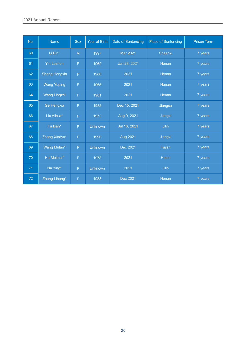| No. | <b>Name</b>          | <b>Sex</b>          | <b>Year of Birth</b> | Date of Sentencing | <b>Place of Sentencing</b> | <b>Prison Term</b> |
|-----|----------------------|---------------------|----------------------|--------------------|----------------------------|--------------------|
| 60  | Li Bin*              | M                   | 1997                 | Mar 2021           | Shaanxi                    | 7 years            |
| 61  | <b>Yin Luzhen</b>    | F                   | 1962                 | Jan 28, 2021       | Henan                      | 7 years            |
| 62  | <b>Shang Hongxia</b> | F                   | 1988                 | 2021               | Henan                      | 7 years            |
| 63  | <b>Wang Yuping</b>   | F                   | 1965                 | 2021               | Henan                      | 7 years            |
| 64  | Wang Lingzhi         | F                   | 1981                 | 2021               | Henan                      | 7 years            |
| 65  | Ge Hengxia           | F                   | 1982                 | Dec 15, 2021       | Jiangsu                    | 7 years            |
| 66  | Liu Aihua*           | F                   | 1973                 | Aug 9, 2021        | Jiangxi                    | 7 years            |
| 67  | Fu Dan*              | F                   | <b>Unknown</b>       | Jul 16, 2021       | <b>Jilin</b>               | 7 years            |
| 68  | Zhang Xiaoyu*        | F                   | 1990                 | Aug 2021           | Jiangxi                    | 7 years            |
| 69  | Wang Mulan*          | F                   | <b>Unknown</b>       | Dec 2021           | Fujian                     | 7 years            |
| 70  | Hu Meimei*           | F                   |                      | 2021               | Hubei                      | 7 years            |
| 71  | Na Ying*             | F<br><b>Unknown</b> |                      | 2021               | Jilin                      | 7 years            |
| 72  | Zheng Lihong*        | F                   | 1988                 | Dec 2021           | Henan                      | 7 years            |